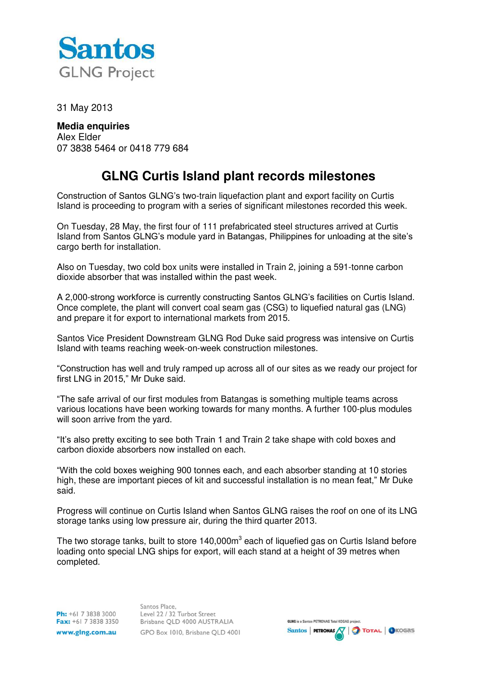

31 May 2013

**Media enquiries**  Alex Elder 07 3838 5464 or 0418 779 684

## **GLNG Curtis Island plant records milestones**

Construction of Santos GLNG's two-train liquefaction plant and export facility on Curtis Island is proceeding to program with a series of significant milestones recorded this week.

On Tuesday, 28 May, the first four of 111 prefabricated steel structures arrived at Curtis Island from Santos GLNG's module yard in Batangas, Philippines for unloading at the site's cargo berth for installation.

Also on Tuesday, two cold box units were installed in Train 2, joining a 591-tonne carbon dioxide absorber that was installed within the past week.

A 2,000-strong workforce is currently constructing Santos GLNG's facilities on Curtis Island. Once complete, the plant will convert coal seam gas (CSG) to liquefied natural gas (LNG) and prepare it for export to international markets from 2015.

Santos Vice President Downstream GLNG Rod Duke said progress was intensive on Curtis Island with teams reaching week-on-week construction milestones.

"Construction has well and truly ramped up across all of our sites as we ready our project for first LNG in 2015," Mr Duke said.

"The safe arrival of our first modules from Batangas is something multiple teams across various locations have been working towards for many months. A further 100-plus modules will soon arrive from the vard.

"It's also pretty exciting to see both Train 1 and Train 2 take shape with cold boxes and carbon dioxide absorbers now installed on each.

"With the cold boxes weighing 900 tonnes each, and each absorber standing at 10 stories high, these are important pieces of kit and successful installation is no mean feat," Mr Duke said.

Progress will continue on Curtis Island when Santos GLNG raises the roof on one of its LNG storage tanks using low pressure air, during the third quarter 2013.

The two storage tanks, built to store 140,000 $m^3$  each of liquefied gas on Curtis Island before loading onto special LNG ships for export, will each stand at a height of 39 metres when completed.

Ph: +61 7 3838 3000 Fax: +61 7 3838 3350 www.glng.com.au

Santos Place. Level 22 / 32 Turbot Street Brisbane QLD 4000 AUSTRALIA GPO Box 1010, Brisbane QLD 4001

**GLNG** is a Santos PETRONAS Total KOGAS project. Santos **PETRONAS**  $\sqrt{\phantom{a}}$  **Total O** ICOGAS